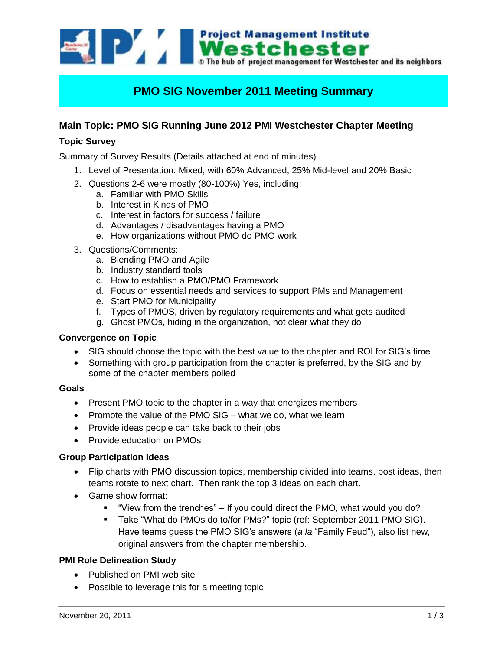Westchester The hub of project management for Westchester and its neighbors

# **PMO SIG November 2011 Meeting Summary**

# **Main Topic: PMO SIG Running June 2012 PMI Westchester Chapter Meeting**

## **Topic Survey**

Summary of Survey Results (Details attached at end of minutes)

- 1. Level of Presentation: Mixed, with 60% Advanced, 25% Mid-level and 20% Basic
- 2. Questions 2-6 were mostly (80-100%) Yes, including:
	- a. Familiar with PMO Skills
	- b. Interest in Kinds of PMO
	- c. Interest in factors for success / failure
	- d. Advantages / disadvantages having a PMO
	- e. How organizations without PMO do PMO work
- 3. Questions/Comments:
	- a. Blending PMO and Agile
	- b. Industry standard tools
	- c. How to establish a PMO/PMO Framework
	- d. Focus on essential needs and services to support PMs and Management
	- e. Start PMO for Municipality
	- f. Types of PMOS, driven by regulatory requirements and what gets audited
	- g. Ghost PMOs, hiding in the organization, not clear what they do

#### **Convergence on Topic**

- SIG should choose the topic with the best value to the chapter and ROI for SIG's time
- Something with group participation from the chapter is preferred, by the SIG and by some of the chapter members polled

#### **Goals**

- Present PMO topic to the chapter in a way that energizes members
- Promote the value of the PMO SIG  $-$  what we do, what we learn
- Provide ideas people can take back to their jobs
- Provide education on PMOs

## **Group Participation Ideas**

- Flip charts with PMO discussion topics, membership divided into teams, post ideas, then teams rotate to next chart. Then rank the top 3 ideas on each chart.
- Game show format:
	- "View from the trenches" If you could direct the PMO, what would you do?
	- Take "What do PMOs do to/for PMs?" topic (ref: September 2011 PMO SIG). Have teams guess the PMO SIG's answers (*a la* "Family Feud"), also list new, original answers from the chapter membership.

### **PMI Role Delineation Study**

- Published on PMI web site
- Possible to leverage this for a meeting topic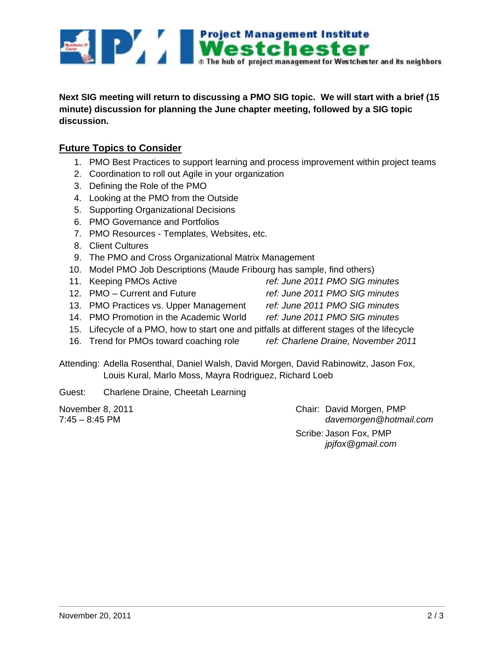

**Next SIG meeting will return to discussing a PMO SIG topic. We will start with a brief (15 minute) discussion for planning the June chapter meeting, followed by a SIG topic discussion.**

## **Future Topics to Consider**

- 1. PMO Best Practices to support learning and process improvement within project teams
- 2. Coordination to roll out Agile in your organization
- 3. Defining the Role of the PMO
- 4. Looking at the PMO from the Outside
- 5. Supporting Organizational Decisions
- 6. PMO Governance and Portfolios
- 7. PMO Resources Templates, Websites, etc.
- 8. Client Cultures
- 9. The PMO and Cross Organizational Matrix Management
- 10. Model PMO Job Descriptions (Maude Fribourg has sample, find others)
- 11. Keeping PMOs Active *ref: June 2011 PMO SIG minutes*
- 12. PMO Current and Future *ref: June 2011 PMO SIG minutes*
- 13. PMO Practices vs. Upper Management *ref: June 2011 PMO SIG minutes*
- 
- 
- 14. PMO Promotion in the Academic World *ref: June 2011 PMO SIG minutes*
- 15. Lifecycle of a PMO, how to start one and pitfalls at different stages of the lifecycle
- 16. Trend for PMOs toward coaching role *ref: Charlene Draine, November 2011*
	-

Attending: Adella Rosenthal, Daniel Walsh, David Morgen, David Rabinowitz, Jason Fox, Louis Kural, Marlo Moss, Mayra Rodriguez, Richard Loeb

Guest: Charlene Draine, Cheetah Learning

November 8, 2011 **Chair: David Morgen, PMP** 7:45 – 8:45 PM *davemorgen@hotmail.com* Scribe: Jason Fox, PMP *jpjfox@gmail.com*